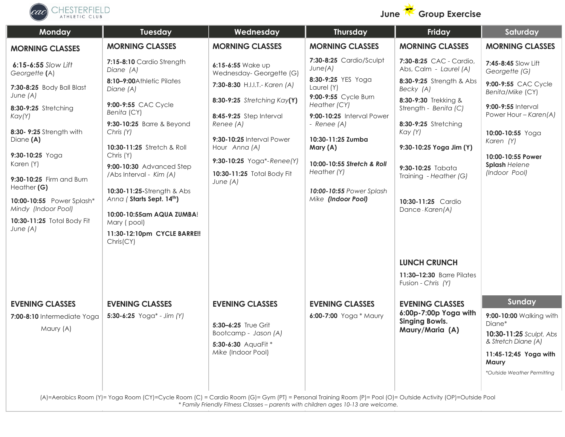



| Monday                                            | Tuesday                                                | Wednesday                                    | Thursday                                       | Friday                                                            | Saturday                                                     |
|---------------------------------------------------|--------------------------------------------------------|----------------------------------------------|------------------------------------------------|-------------------------------------------------------------------|--------------------------------------------------------------|
| <b>MORNING CLASSES</b>                            | <b>MORNING CLASSES</b>                                 | <b>MORNING CLASSES</b>                       | <b>MORNING CLASSES</b>                         | <b>MORNING CLASSES</b>                                            | <b>MORNING CLASSES</b>                                       |
| 6:15-6:55 Slow Lift<br>Georgette (A)              | 7:15-8:10 Cardio Strength<br>Diane (A)                 | 6:15-6:55 Wake up<br>Wednesday-Georgette (G) | 7:30-8:25 Cardio/Sculpt<br>June(A)             | 7:30-8:25 CAC - Cardio,<br>Abs, Calm - Laurel (A)                 | 7:45-8:45 Slow Lift<br>Georgette (G)                         |
| 7:30-8:25 Body Ball Blast                         | 8:10-9:00Athletic Pilates<br>Diane (A)                 | 7:30-8:30 H.I.I.T.- Karen (A)                | 8:30-9:25 YES Yoga<br>Laurel (Y)               | 8:30-9:25 Strength & Abs<br>Becky (A)                             | 9:00-9:55 CAC Cycle<br>Benita/Mike (CY)                      |
| June (A)<br>8:30-9:25 Stretching                  | 9:00-9:55 CAC Cycle<br>Benita (CY)                     | 8:30-9:25 Stretching Kay(Y)                  | 9:00-9:55 Cycle Burn<br>Heather (CY)           | 8:30-9:30 Trekking &<br>Strength - Benita (C)                     | 9:00-9:55 Interval                                           |
| Kay(Y)                                            | 9:30-10:25 Barre & Beyond                              | 8:45-9:25 Step Interval<br>Renee (A)         | 9:00-10:25 Interval Power<br>- Renee (A)       | 8:30-9:25 Stretching                                              | Power Hour - Karen(A)                                        |
| 8:30- 9:25 Strength with<br>Diane (A)             | Chris (Y)<br>10:30-11:25 Stretch & Roll                | 9:30-10:25 Interval Power<br>Hour Anna (A)   | 10:30-11:25 Zumba<br>Mary (A)                  | Kay (Y)<br>9:30-10:25 Yoga Jim (Y)                                | 10:00-10:55 Yoga<br>Karen (Y)                                |
| 9:30-10:25 Yoga<br>Karen (Y)                      | Chris (Y)<br>9:00-10:30 Advanced Step                  | 9:30-10:25 Yoga*-Renee(Y)                    | 10:00-10:55 Stretch & Roll                     | 9:30-10:25 Tabata                                                 | 10:00-10:55 Power<br><b>Splash Helene</b>                    |
| 9:30-10:25 Firm and Burn<br>Heather (G)           | /Abs Interval - Kim (A)                                | 10:30-11:25 Total Body Fit<br>June $(A)$     | Heather (Y)                                    | Training - Heather (G)                                            | (Indoor Pool)                                                |
| 10:00-10:55 Power Splash*                         | 10:30-11:25-Strength & Abs<br>Anna (Starts Sept. 14th) |                                              | 10:00-10:55 Power Splash<br>Mike (Indoor Pool) | 10:30-11:25 Cardio                                                |                                                              |
| Mindy (Indoor Pool)<br>10:30-11:25 Total Body Fit | 10:00-10:55am AQUA ZUMBA!<br>Mary (pool)               |                                              |                                                | Dance-Karen(A)                                                    |                                                              |
| June (A)                                          | 11:30-12:10pm CYCLE BARRE !!<br>Christ(CY)             |                                              |                                                |                                                                   |                                                              |
|                                                   |                                                        |                                              |                                                | <b>LUNCH CRUNCH</b>                                               |                                                              |
|                                                   |                                                        |                                              |                                                | 11:30-12:30 Barre Pilates<br>Fusion - Chris (Y)                   |                                                              |
| <b>EVENING CLASSES</b>                            | <b>EVENING CLASSES</b>                                 | <b>EVENING CLASSES</b>                       | <b>EVENING CLASSES</b>                         | <b>EVENING CLASSES</b>                                            | Sunday                                                       |
| 7:00-8:10 Intermediate Yoga<br>Maury (A)          | 5:30-6:25 $Yoga* - Jim (Y)$                            | 5:30-6:25 True Grit<br>Bootcamp - Jason (A)  | 6:00-7:00 Yoga * Maury                         | 6:00p-7:00p Yoga with<br><b>Singing Bowls.</b><br>Maury/Maria (A) | 9:00-10:00 Walking with<br>Diane*<br>10:30-11:25 Sculpt, Abs |
|                                                   |                                                        | 5:30-6:30 AquaFit *                          |                                                |                                                                   | & Stretch Diane (A)                                          |
|                                                   |                                                        | Mike (Indoor Pool)                           |                                                |                                                                   | 11:45-12;45 Yoga with<br>Maury                               |
|                                                   |                                                        |                                              |                                                |                                                                   | *Outside Weather Permitting                                  |
|                                                   |                                                        |                                              |                                                |                                                                   |                                                              |

(A)=Aerobics Room (Y)= Yoga Room (CY)=Cycle Room (C) = Cardio Room (G)= Gym (PT) = Personal Training Room (P)= Pool (O)= Outside Activity (OP)=Outside Pool *\* Family Friendly Fitness Classes – parents with children ages 10-13 are welcome.*